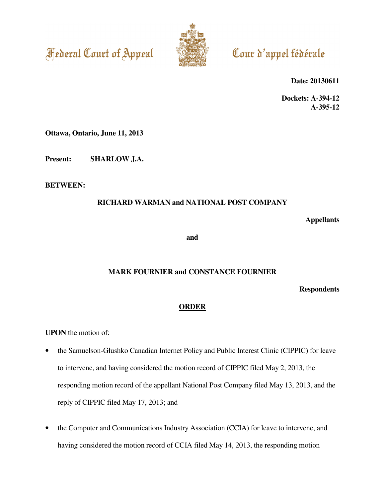



# Cour d'appel fédérale

**Date: 20130611** 

**Dockets: A-394-12 A-395-12** 

**Ottawa, Ontario, June 11, 2013** 

**Present: SHARLOW J.A.** 

**BETWEEN:** 

# **RICHARD WARMAN and NATIONAL POST COMPANY**

**Appellants** 

**and** 

# **MARK FOURNIER and CONSTANCE FOURNIER**

**Respondents** 

# **ORDER**

**UPON** the motion of:

- the Samuelson-Glushko Canadian Internet Policy and Public Interest Clinic (CIPPIC) for leave to intervene, and having considered the motion record of CIPPIC filed May 2, 2013, the responding motion record of the appellant National Post Company filed May 13, 2013, and the reply of CIPPIC filed May 17, 2013; and
- the Computer and Communications Industry Association (CCIA) for leave to intervene, and having considered the motion record of CCIA filed May 14, 2013, the responding motion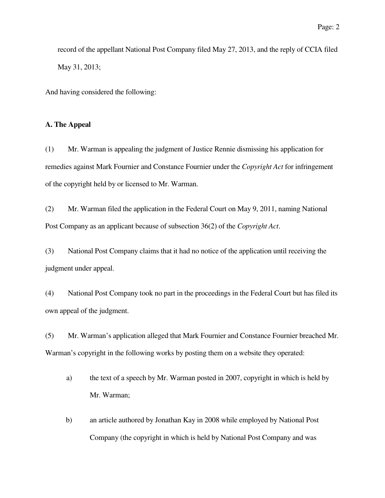record of the appellant National Post Company filed May 27, 2013, and the reply of CCIA filed May 31, 2013;

And having considered the following:

## **A. The Appeal**

(1) Mr. Warman is appealing the judgment of Justice Rennie dismissing his application for remedies against Mark Fournier and Constance Fournier under the *Copyright Act* for infringement of the copyright held by or licensed to Mr. Warman.

(2) Mr. Warman filed the application in the Federal Court on May 9, 2011, naming National Post Company as an applicant because of subsection 36(2) of the *Copyright Act*.

(3) National Post Company claims that it had no notice of the application until receiving the judgment under appeal.

(4) National Post Company took no part in the proceedings in the Federal Court but has filed its own appeal of the judgment.

(5) Mr. Warman's application alleged that Mark Fournier and Constance Fournier breached Mr. Warman's copyright in the following works by posting them on a website they operated:

- a) the text of a speech by Mr. Warman posted in 2007, copyright in which is held by Mr. Warman;
- b) an article authored by Jonathan Kay in 2008 while employed by National Post Company (the copyright in which is held by National Post Company and was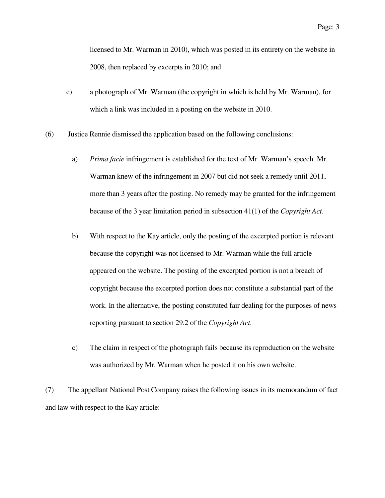licensed to Mr. Warman in 2010), which was posted in its entirety on the website in 2008, then replaced by excerpts in 2010; and

- c) a photograph of Mr. Warman (the copyright in which is held by Mr. Warman), for which a link was included in a posting on the website in 2010.
- (6) Justice Rennie dismissed the application based on the following conclusions:
	- a) *Prima facie* infringement is established for the text of Mr. Warman's speech. Mr. Warman knew of the infringement in 2007 but did not seek a remedy until 2011, more than 3 years after the posting. No remedy may be granted for the infringement because of the 3 year limitation period in subsection 41(1) of the *Copyright Act*.
	- b) With respect to the Kay article, only the posting of the excerpted portion is relevant because the copyright was not licensed to Mr. Warman while the full article appeared on the website. The posting of the excerpted portion is not a breach of copyright because the excerpted portion does not constitute a substantial part of the work. In the alternative, the posting constituted fair dealing for the purposes of news reporting pursuant to section 29.2 of the *Copyright Act*.
	- c) The claim in respect of the photograph fails because its reproduction on the website was authorized by Mr. Warman when he posted it on his own website.

(7) The appellant National Post Company raises the following issues in its memorandum of fact and law with respect to the Kay article: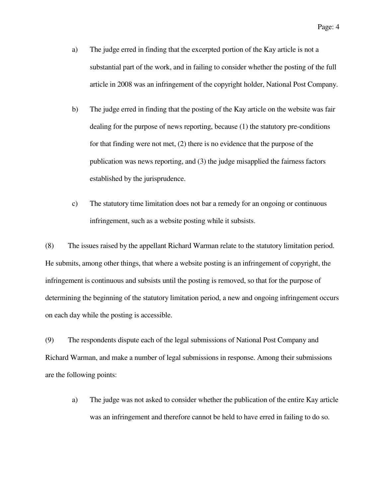- a) The judge erred in finding that the excerpted portion of the Kay article is not a substantial part of the work, and in failing to consider whether the posting of the full article in 2008 was an infringement of the copyright holder, National Post Company.
- b) The judge erred in finding that the posting of the Kay article on the website was fair dealing for the purpose of news reporting, because (1) the statutory pre-conditions for that finding were not met, (2) there is no evidence that the purpose of the publication was news reporting, and (3) the judge misapplied the fairness factors established by the jurisprudence.
- c) The statutory time limitation does not bar a remedy for an ongoing or continuous infringement, such as a website posting while it subsists.

(8) The issues raised by the appellant Richard Warman relate to the statutory limitation period. He submits, among other things, that where a website posting is an infringement of copyright, the infringement is continuous and subsists until the posting is removed, so that for the purpose of determining the beginning of the statutory limitation period, a new and ongoing infringement occurs on each day while the posting is accessible.

(9) The respondents dispute each of the legal submissions of National Post Company and Richard Warman, and make a number of legal submissions in response. Among their submissions are the following points:

a) The judge was not asked to consider whether the publication of the entire Kay article was an infringement and therefore cannot be held to have erred in failing to do so.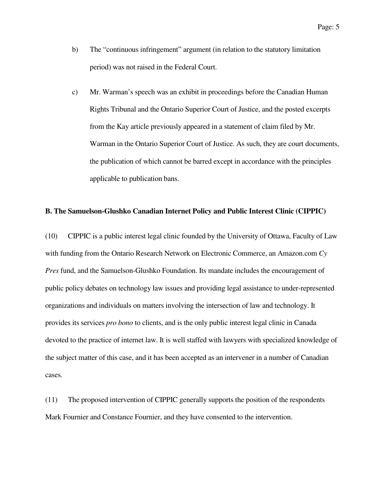- b) The "continuous infringement" argument (in relation to the statutory limitation period) was not raised in the Federal Court.
- c) Mr. Warman's speech was an exhibit in proceedings before the Canadian Human Rights Tribunal and the Ontario Superior Court of Justice, and the posted excerpts from the Kay article previously appeared in a statement of claim filed by Mr. Warman in the Ontario Superior Court of Justice. As such, they are court documents, the publication of which cannot be barred except in accordance with the principles applicable to publication bans.

#### **B. The Samuelson-Glushko Canadian Internet Policy and Public Interest Clinic (CIPPIC)**

(10) CIPPIC is a public interest legal clinic founded by the University of Ottawa, Faculty of Law with funding from the Ontario Research Network on Electronic Commerce, an Amazon.com *Cy Pres* fund, and the Samuelson-Glushko Foundation. Its mandate includes the encouragement of public policy debates on technology law issues and providing legal assistance to under-represented organizations and individuals on matters involving the intersection of law and technology. It provides its services *pro bono* to clients, and is the only public interest legal clinic in Canada devoted to the practice of internet law. It is well staffed with lawyers with specialized knowledge of the subject matter of this case, and it has been accepted as an intervener in a number of Canadian cases.

(11) The proposed intervention of CIPPIC generally supports the position of the respondents Mark Fournier and Constance Fournier, and they have consented to the intervention.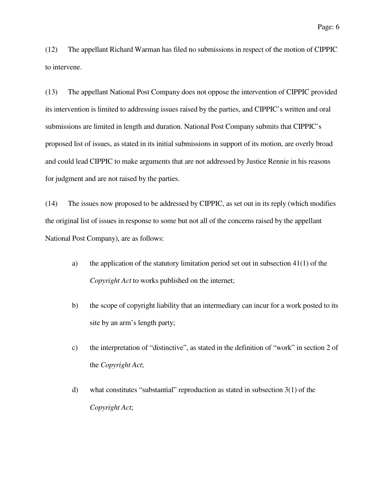(12) The appellant Richard Warman has filed no submissions in respect of the motion of CIPPIC to intervene.

(13) The appellant National Post Company does not oppose the intervention of CIPPIC provided its intervention is limited to addressing issues raised by the parties, and CIPPIC's written and oral submissions are limited in length and duration. National Post Company submits that CIPPIC's proposed list of issues, as stated in its initial submissions in support of its motion, are overly broad and could lead CIPPIC to make arguments that are not addressed by Justice Rennie in his reasons for judgment and are not raised by the parties.

(14) The issues now proposed to be addressed by CIPPIC, as set out in its reply (which modifies the original list of issues in response to some but not all of the concerns raised by the appellant National Post Company), are as follows:

- a) the application of the statutory limitation period set out in subsection 41(1) of the *Copyright Act* to works published on the internet;
- b) the scope of copyright liability that an intermediary can incur for a work posted to its site by an arm's length party;
- c) the interpretation of "distinctive", as stated in the definition of "work" in section 2 of the *Copyright Act*;
- d) what constitutes "substantial" reproduction as stated in subsection 3(1) of the *Copyright Act*;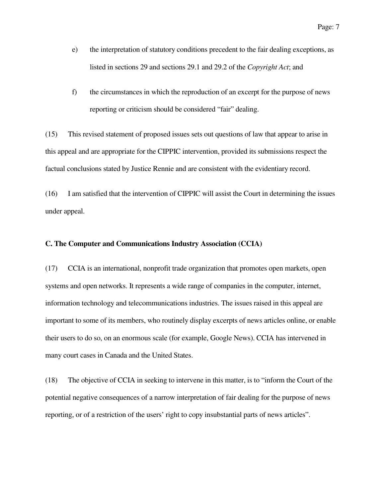- e) the interpretation of statutory conditions precedent to the fair dealing exceptions, as listed in sections 29 and sections 29.1 and 29.2 of the *Copyright Act*; and
- f) the circumstances in which the reproduction of an excerpt for the purpose of news reporting or criticism should be considered "fair" dealing.

(15) This revised statement of proposed issues sets out questions of law that appear to arise in this appeal and are appropriate for the CIPPIC intervention, provided its submissions respect the factual conclusions stated by Justice Rennie and are consistent with the evidentiary record.

(16) I am satisfied that the intervention of CIPPIC will assist the Court in determining the issues under appeal.

#### **C. The Computer and Communications Industry Association (CCIA)**

(17) CCIA is an international, nonprofit trade organization that promotes open markets, open systems and open networks. It represents a wide range of companies in the computer, internet, information technology and telecommunications industries. The issues raised in this appeal are important to some of its members, who routinely display excerpts of news articles online, or enable their users to do so, on an enormous scale (for example, Google News). CCIA has intervened in many court cases in Canada and the United States.

(18) The objective of CCIA in seeking to intervene in this matter, is to "inform the Court of the potential negative consequences of a narrow interpretation of fair dealing for the purpose of news reporting, or of a restriction of the users' right to copy insubstantial parts of news articles".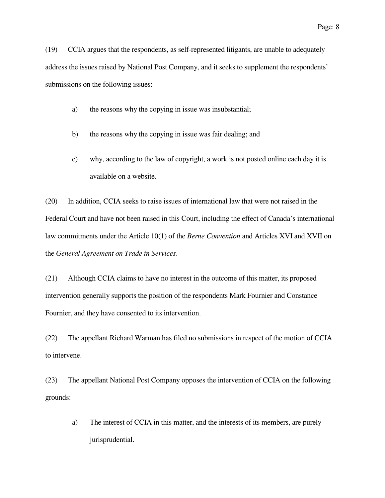(19) CCIA argues that the respondents, as self-represented litigants, are unable to adequately address the issues raised by National Post Company, and it seeks to supplement the respondents' submissions on the following issues:

- a) the reasons why the copying in issue was insubstantial;
- b) the reasons why the copying in issue was fair dealing; and
- c) why, according to the law of copyright, a work is not posted online each day it is available on a website.

(20) In addition, CCIA seeks to raise issues of international law that were not raised in the Federal Court and have not been raised in this Court, including the effect of Canada's international law commitments under the Article 10(1) of the *Berne Convention* and Articles XVI and XVII on the *General Agreement on Trade in Services*.

(21) Although CCIA claims to have no interest in the outcome of this matter, its proposed intervention generally supports the position of the respondents Mark Fournier and Constance Fournier, and they have consented to its intervention.

(22) The appellant Richard Warman has filed no submissions in respect of the motion of CCIA to intervene.

(23) The appellant National Post Company opposes the intervention of CCIA on the following grounds:

a) The interest of CCIA in this matter, and the interests of its members, are purely jurisprudential.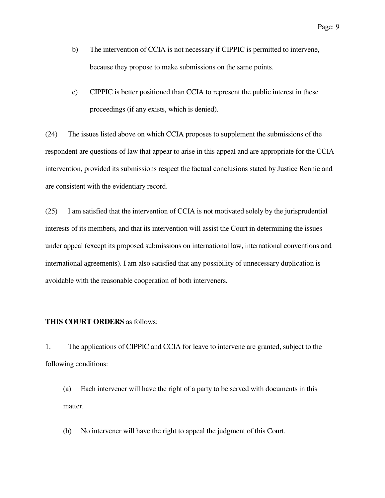- b) The intervention of CCIA is not necessary if CIPPIC is permitted to intervene, because they propose to make submissions on the same points.
- c) CIPPIC is better positioned than CCIA to represent the public interest in these proceedings (if any exists, which is denied).

(24) The issues listed above on which CCIA proposes to supplement the submissions of the respondent are questions of law that appear to arise in this appeal and are appropriate for the CCIA intervention, provided its submissions respect the factual conclusions stated by Justice Rennie and are consistent with the evidentiary record.

(25) I am satisfied that the intervention of CCIA is not motivated solely by the jurisprudential interests of its members, and that its intervention will assist the Court in determining the issues under appeal (except its proposed submissions on international law, international conventions and international agreements). I am also satisfied that any possibility of unnecessary duplication is avoidable with the reasonable cooperation of both interveners.

### **THIS COURT ORDERS** as follows:

1. The applications of CIPPIC and CCIA for leave to intervene are granted, subject to the following conditions:

(a) Each intervener will have the right of a party to be served with documents in this matter.

(b) No intervener will have the right to appeal the judgment of this Court.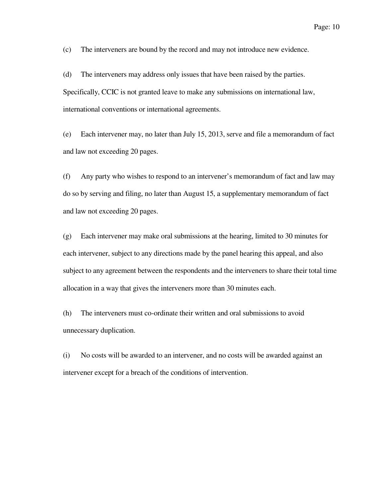(c) The interveners are bound by the record and may not introduce new evidence.

(d) The interveners may address only issues that have been raised by the parties. Specifically, CCIC is not granted leave to make any submissions on international law, international conventions or international agreements.

(e) Each intervener may, no later than July 15, 2013, serve and file a memorandum of fact and law not exceeding 20 pages.

(f) Any party who wishes to respond to an intervener's memorandum of fact and law may do so by serving and filing, no later than August 15, a supplementary memorandum of fact and law not exceeding 20 pages.

(g) Each intervener may make oral submissions at the hearing, limited to 30 minutes for each intervener, subject to any directions made by the panel hearing this appeal, and also subject to any agreement between the respondents and the interveners to share their total time allocation in a way that gives the interveners more than 30 minutes each.

(h) The interveners must co-ordinate their written and oral submissions to avoid unnecessary duplication.

(i) No costs will be awarded to an intervener, and no costs will be awarded against an intervener except for a breach of the conditions of intervention.